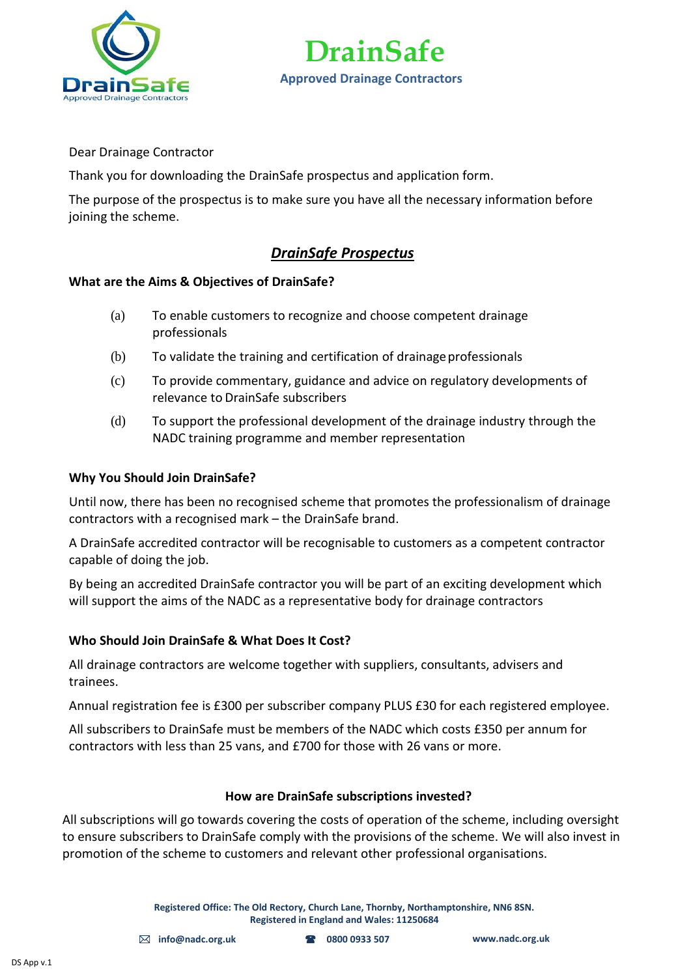



Dear Drainage Contractor

Thank you for downloading the DrainSafe prospectus and application form.

The purpose of the prospectus is to make sure you have all the necessary information before joining the scheme.

### *DrainSafe Prospectus*

#### **What are the Aims & Objectives of DrainSafe?**

- (a) To enable customers to recognize and choose competent drainage professionals
- (b) To validate the training and certification of drainage professionals
- (c) To provide commentary, guidance and advice on regulatory developments of relevance to DrainSafe subscribers
- (d) To support the professional development of the drainage industry through the NADC training programme and member representation

#### **Why You Should Join DrainSafe?**

Until now, there has been no recognised scheme that promotes the professionalism of drainage contractors with a recognised mark – the DrainSafe brand.

A DrainSafe accredited contractor will be recognisable to customers as a competent contractor capable of doing the job.

By being an accredited DrainSafe contractor you will be part of an exciting development which will support the aims of the NADC as a representative body for drainage contractors

#### **Who Should Join DrainSafe & What Does It Cost?**

All drainage contractors are welcome together with suppliers, consultants, advisers and trainees.

Annual registration fee is £300 per subscriber company PLUS £30 for each registered employee.

All subscribers to DrainSafe must be members of the NADC which costs £350 per annum for contractors with less than 25 vans, and £700 for those with 26 vans or more.

#### **How are DrainSafe subscriptions invested?**

All subscriptions will go towards covering the costs of operation of the scheme, including oversight to ensure subscribers to DrainSafe comply with the provisions of the scheme. We will also invest in promotion of the scheme to customers and relevant other professional organisations.

> **Registered Office: The Old Rectory, Church Lane, Thornby, Northamptonshire, NN6 8SN. Registered in England and Wales: 11250684**

 **[info@nadc.org.uk](mailto:info@nadc.org.uk) 0800 0933 507 [www.nadc.org.uk](http://www.nadc.org.uk/)**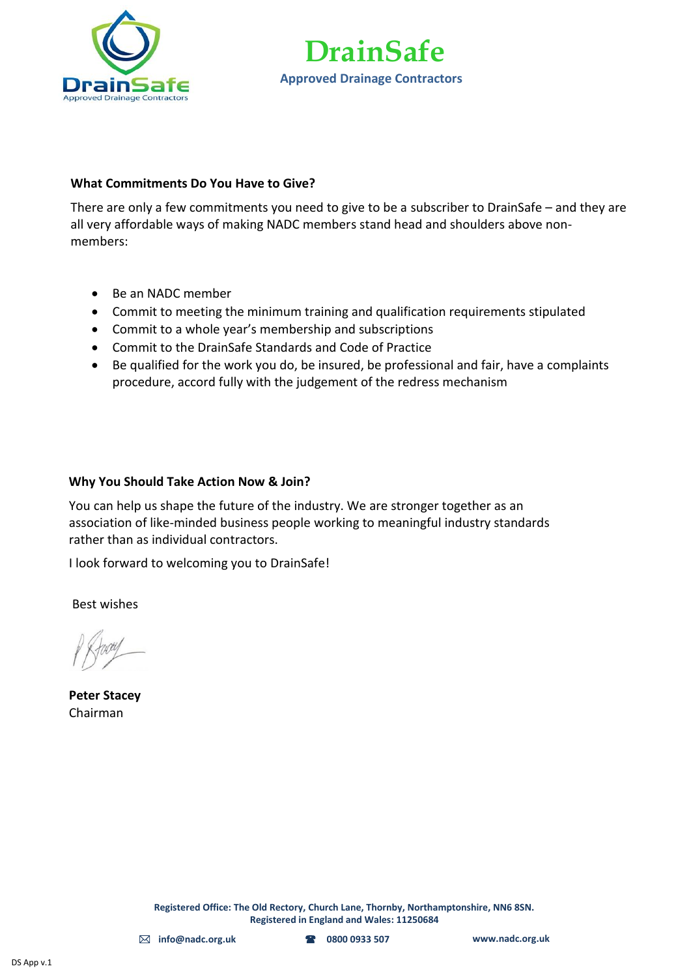



#### **What Commitments Do You Have to Give?**

There are only a few commitments you need to give to be a subscriber to DrainSafe – and they are all very affordable ways of making NADC members stand head and shoulders above nonmembers:

- Be an NADC member
- Commit to meeting the minimum training and qualification requirements stipulated
- Commit to a whole year's membership and subscriptions
- Commit to the DrainSafe Standards and Code of Practice
- Be qualified for the work you do, be insured, be professional and fair, have a complaints procedure, accord fully with the judgement of the redress mechanism

#### **Why You Should Take Action Now & Join?**

You can help us shape the future of the industry. We are stronger together as an association of like-minded business people working to meaningful industry standards rather than as individual contractors.

I look forward to welcoming you to DrainSafe!

Best wishes

**Peter Stacey** Chairman

**Registered Office: The Old Rectory, Church Lane, Thornby, Northamptonshire, NN6 8SN. Registered in England and Wales: 11250684**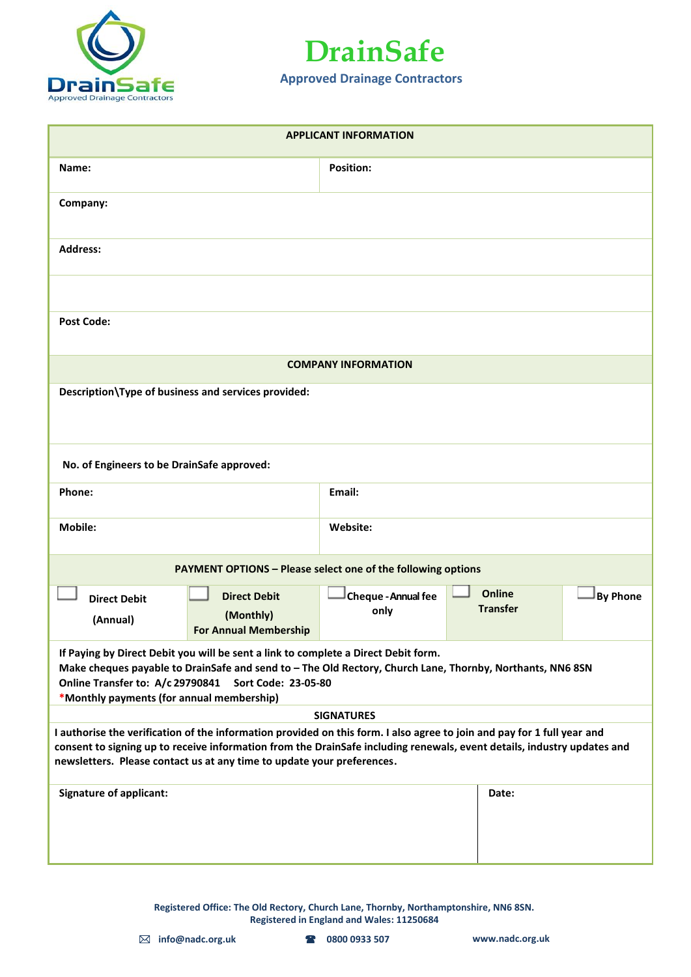



| <b>APPLICANT INFORMATION</b>                                                                                                                                                                                                                                                                                                 |                                                                     |                                  |                 |  |  |
|------------------------------------------------------------------------------------------------------------------------------------------------------------------------------------------------------------------------------------------------------------------------------------------------------------------------------|---------------------------------------------------------------------|----------------------------------|-----------------|--|--|
| Name:                                                                                                                                                                                                                                                                                                                        | <b>Position:</b>                                                    |                                  |                 |  |  |
| Company:                                                                                                                                                                                                                                                                                                                     |                                                                     |                                  |                 |  |  |
| <b>Address:</b>                                                                                                                                                                                                                                                                                                              |                                                                     |                                  |                 |  |  |
|                                                                                                                                                                                                                                                                                                                              |                                                                     |                                  |                 |  |  |
| <b>Post Code:</b>                                                                                                                                                                                                                                                                                                            |                                                                     |                                  |                 |  |  |
|                                                                                                                                                                                                                                                                                                                              | <b>COMPANY INFORMATION</b>                                          |                                  |                 |  |  |
| Description\Type of business and services provided:                                                                                                                                                                                                                                                                          |                                                                     |                                  |                 |  |  |
| No. of Engineers to be DrainSafe approved:                                                                                                                                                                                                                                                                                   |                                                                     |                                  |                 |  |  |
| Phone:                                                                                                                                                                                                                                                                                                                       | Email:                                                              |                                  |                 |  |  |
| <b>Mobile:</b>                                                                                                                                                                                                                                                                                                               | Website:                                                            |                                  |                 |  |  |
|                                                                                                                                                                                                                                                                                                                              | <b>PAYMENT OPTIONS - Please select one of the following options</b> |                                  |                 |  |  |
| <b>Direct Debit</b><br><b>Direct Debit</b><br>(Monthly)<br>(Annual)<br><b>For Annual Membership</b>                                                                                                                                                                                                                          | <b>Cheque - Annual fee</b><br>only                                  | <b>Online</b><br><b>Transfer</b> | <b>By Phone</b> |  |  |
| If Paying by Direct Debit you will be sent a link to complete a Direct Debit form.<br>Make cheques payable to DrainSafe and send to - The Old Rectory, Church Lane, Thornby, Northants, NN6 8SN<br>Online Transfer to: A/c 29790841 Sort Code: 23-05-80<br>*Monthly payments (for annual membership)                         |                                                                     |                                  |                 |  |  |
| <b>SIGNATURES</b>                                                                                                                                                                                                                                                                                                            |                                                                     |                                  |                 |  |  |
| I authorise the verification of the information provided on this form. I also agree to join and pay for 1 full year and<br>consent to signing up to receive information from the DrainSafe including renewals, event details, industry updates and<br>newsletters. Please contact us at any time to update your preferences. |                                                                     |                                  |                 |  |  |
| <b>Signature of applicant:</b>                                                                                                                                                                                                                                                                                               |                                                                     | Date:                            |                 |  |  |

**Registered Office: The Old Rectory, Church Lane, Thornby, Northamptonshire, NN6 8SN. Registered in England and Wales: 11250684**